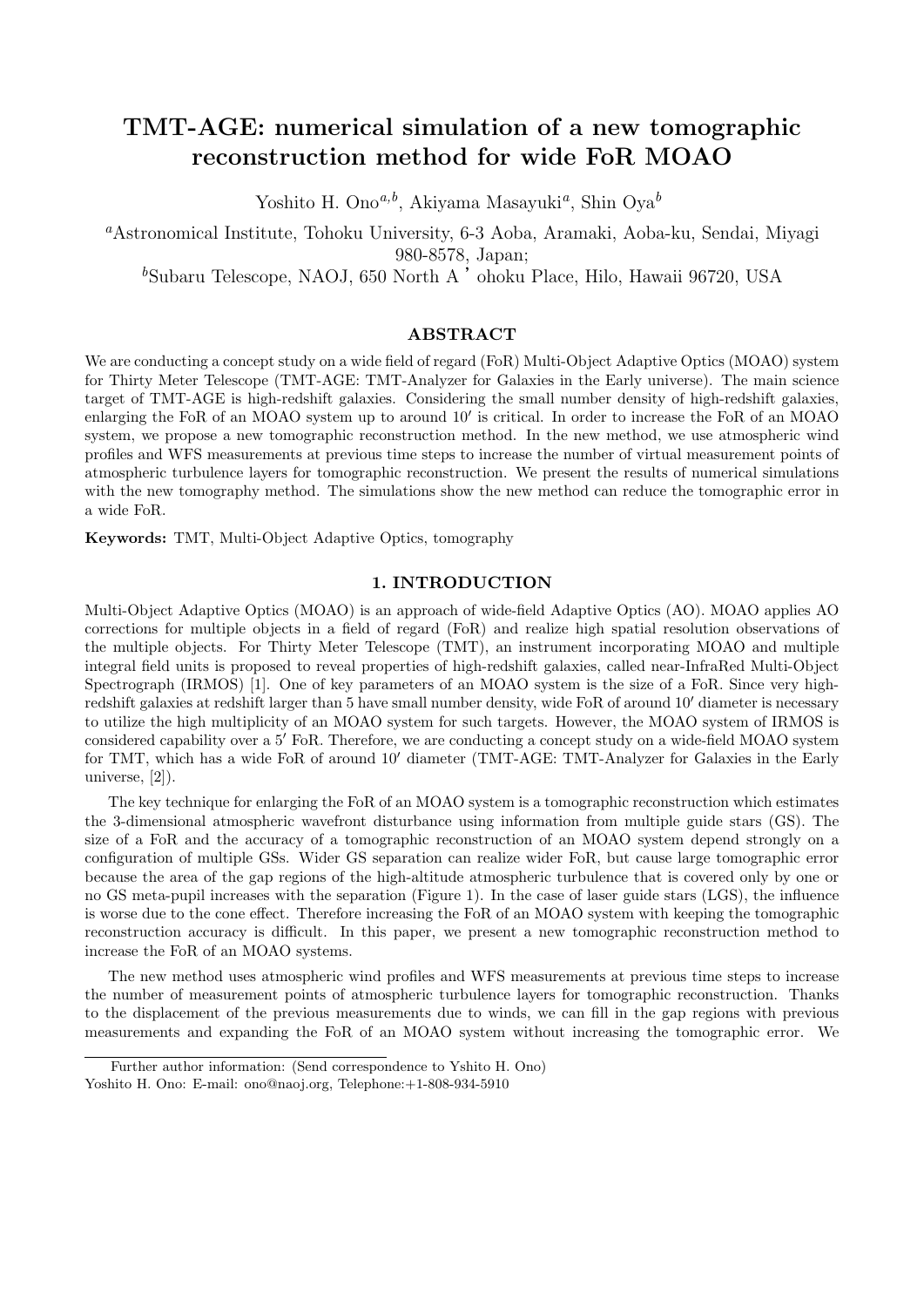# **TMT-AGE: numerical simulation of a new tomographic reconstruction method for wide FoR MOAO**

Yoshito H. Ono*a,b*, Akiyama Masayuki*<sup>a</sup>* , Shin Oya*<sup>b</sup>*

*<sup>a</sup>*Astronomical Institute, Tohoku University, 6-3 Aoba, Aramaki, Aoba-ku, Sendai, Miyagi 980-8578, Japan;

*<sup>b</sup>*Subaru Telescope, NAOJ, 650 North A 'ohoku Place, Hilo, Hawaii 96720, USA

# **ABSTRACT**

We are conducting a concept study on a wide field of regard (FoR) Multi-Object Adaptive Optics (MOAO) system for Thirty Meter Telescope (TMT-AGE: TMT-Analyzer for Galaxies in the Early universe). The main science target of TMT-AGE is high-redshift galaxies. Considering the small number density of high-redshift galaxies, enlarging the FoR of an MOAO system up to around 10*<sup>0</sup>* is critical. In order to increase the FoR of an MOAO system, we propose a new tomographic reconstruction method. In the new method, we use atmospheric wind profiles and WFS measurements at previous time steps to increase the number of virtual measurement points of atmospheric turbulence layers for tomographic reconstruction. We present the results of numerical simulations with the new tomography method. The simulations show the new method can reduce the tomographic error in a wide FoR.

**Keywords:** TMT, Multi-Object Adaptive Optics, tomography

## **1. INTRODUCTION**

Multi-Object Adaptive Optics (MOAO) is an approach of wide-field Adaptive Optics (AO). MOAO applies AO corrections for multiple objects in a field of regard (FoR) and realize high spatial resolution observations of the multiple objects. For Thirty Meter Telescope (TMT), an instrument incorporating MOAO and multiple integral field units is proposed to reveal properties of high-redshift galaxies, called near-InfraRed Multi-Object Spectrograph (IRMOS) [1]. One of key parameters of an MOAO system is the size of a FoR. Since very highredshift galaxies at redshift larger than 5 have small number density, wide FoR of around 10*<sup>0</sup>* diameter is necessary to utilize the high multiplicity of an MOAO system for such targets. However, the MOAO system of IRMOS is considered capability over a 5<sup>*'*</sup> FoR. Therefore, we are conducting a concept study on a wide-field MOAO system for TMT, which has a wide FoR of around 10*<sup>0</sup>* diameter (TMT-AGE: TMT-Analyzer for Galaxies in the Early universe, [2]).

The key technique for enlarging the FoR of an MOAO system is a tomographic reconstruction which estimates the 3-dimensional atmospheric wavefront disturbance using information from multiple guide stars (GS). The size of a FoR and the accuracy of a tomographic reconstruction of an MOAO system depend strongly on a configuration of multiple GSs. Wider GS separation can realize wider FoR, but cause large tomographic error because the area of the gap regions of the high-altitude atmospheric turbulence that is covered only by one or no GS meta-pupil increases with the separation (Figure 1). In the case of laser guide stars (LGS), the influence is worse due to the cone effect. Therefore increasing the FoR of an MOAO system with keeping the tomographic reconstruction accuracy is difficult. In this paper, we present a new tomographic reconstruction method to increase the FoR of an MOAO systems.

The new method uses atmospheric wind profiles and WFS measurements at previous time steps to increase the number of measurement points of atmospheric turbulence layers for tomographic reconstruction. Thanks to the displacement of the previous measurements due to winds, we can fill in the gap regions with previous measurements and expanding the FoR of an MOAO system without increasing the tomographic error. We

Further author information: (Send correspondence to Yshito H. Ono)

Yoshito H. Ono: E-mail: ono@naoj.org, Telephone: +1-808-934-5910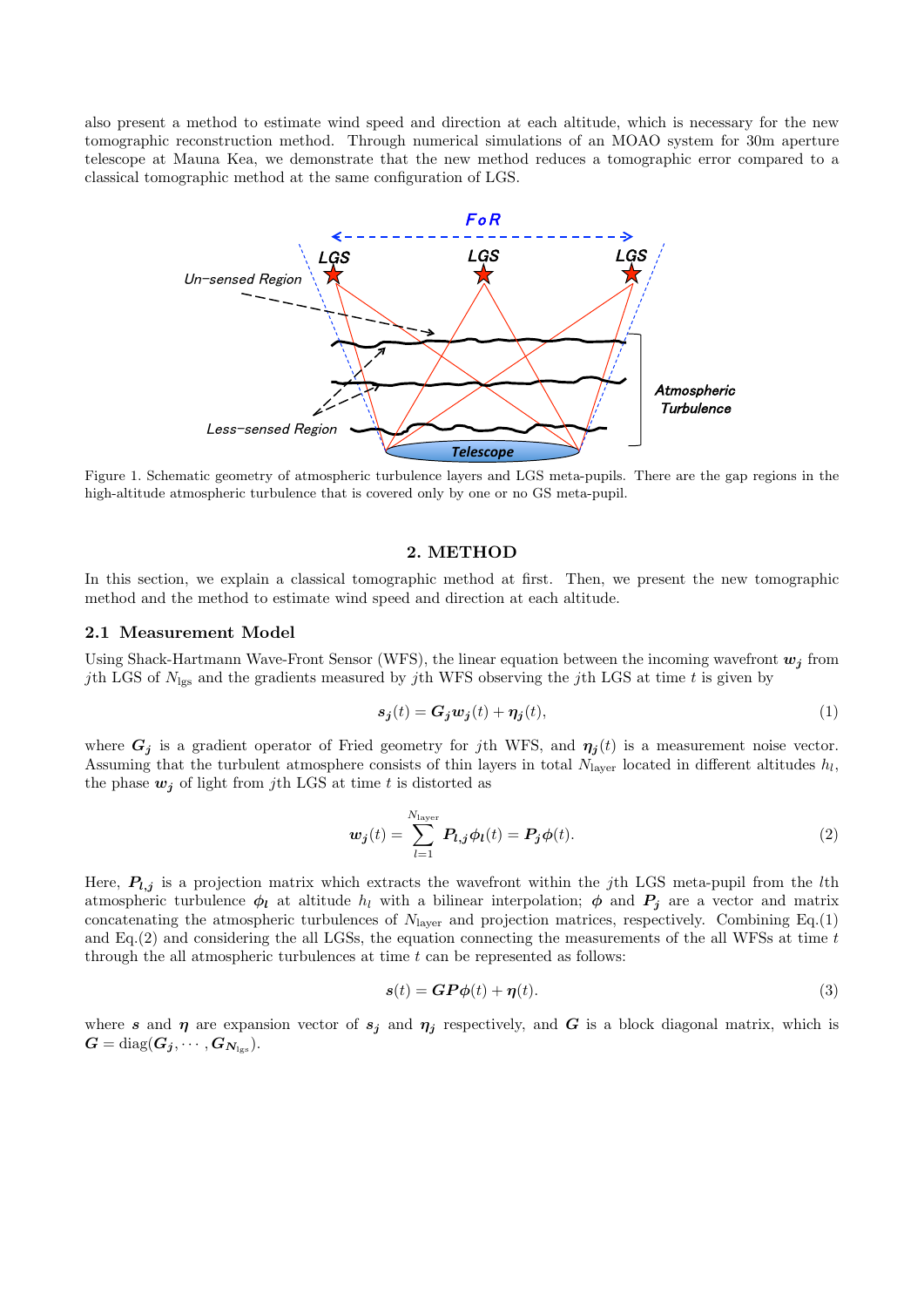also present a method to estimate wind speed and direction at each altitude, which is necessary for the new tomographic reconstruction method. Through numerical simulations of an MOAO system for 30m aperture telescope at Mauna Kea, we demonstrate that the new method reduces a tomographic error compared to a classical tomographic method at the same configuration of LGS.



Figure 1. Schematic geometry of atmospheric turbulence layers and LGS meta-pupils. There are the gap regions in the high-altitude atmospheric turbulence that is covered only by one or no GS meta-pupil.

## **2. METHOD**

In this section, we explain a classical tomographic method at first. Then, we present the new tomographic method and the method to estimate wind speed and direction at each altitude.

### **2.1 Measurement Model**

Using Shack-Hartmann Wave-Front Sensor (WFS), the linear equation between the incoming wavefront  $w_j$  from *j*th LGS of *N*lgs and the gradients measured by *j*th WFS observing the *j*th LGS at time *t* is given by

$$
s_j(t) = G_j w_j(t) + \eta_j(t),\tag{1}
$$

where  $G_j$  is a gradient operator of Fried geometry for *j*th WFS, and  $\eta_j(t)$  is a measurement noise vector. Assuming that the turbulent atmosphere consists of thin layers in total  $N_{\text{layer}}$  located in different altitudes  $h_l$ , the phase  $w_j$  of light from *j*th LGS at time *t* is distorted as

$$
\boldsymbol{w}_j(t) = \sum_{l=1}^{N_{\text{layer}}} \boldsymbol{P}_{l,j} \boldsymbol{\phi}_l(t) = \boldsymbol{P}_j \boldsymbol{\phi}(t). \tag{2}
$$

Here, *Pl,j* is a projection matrix which extracts the wavefront within the *j*th LGS meta-pupil from the *l*th atmospheric turbulence  $\phi_l$  at altitude  $h_l$  with a bilinear interpolation;  $\phi$  and  $P_j$  are a vector and matrix concatenating the atmospheric turbulences of  $N_{\text{layer}}$  and projection matrices, respectively. Combining Eq.(1) and Eq.(2) and considering the all LGSs, the equation connecting the measurements of the all WFSs at time *t* through the all atmospheric turbulences at time *t* can be represented as follows:

$$
s(t) = GP\phi(t) + \eta(t). \tag{3}
$$

where *s* and  $\eta$  are expansion vector of  $s_j$  and  $\eta_j$  respectively, and *G* is a block diagonal matrix, which is  $G = diag(G_j, \cdots, G_{N_{\text{lgs}}}).$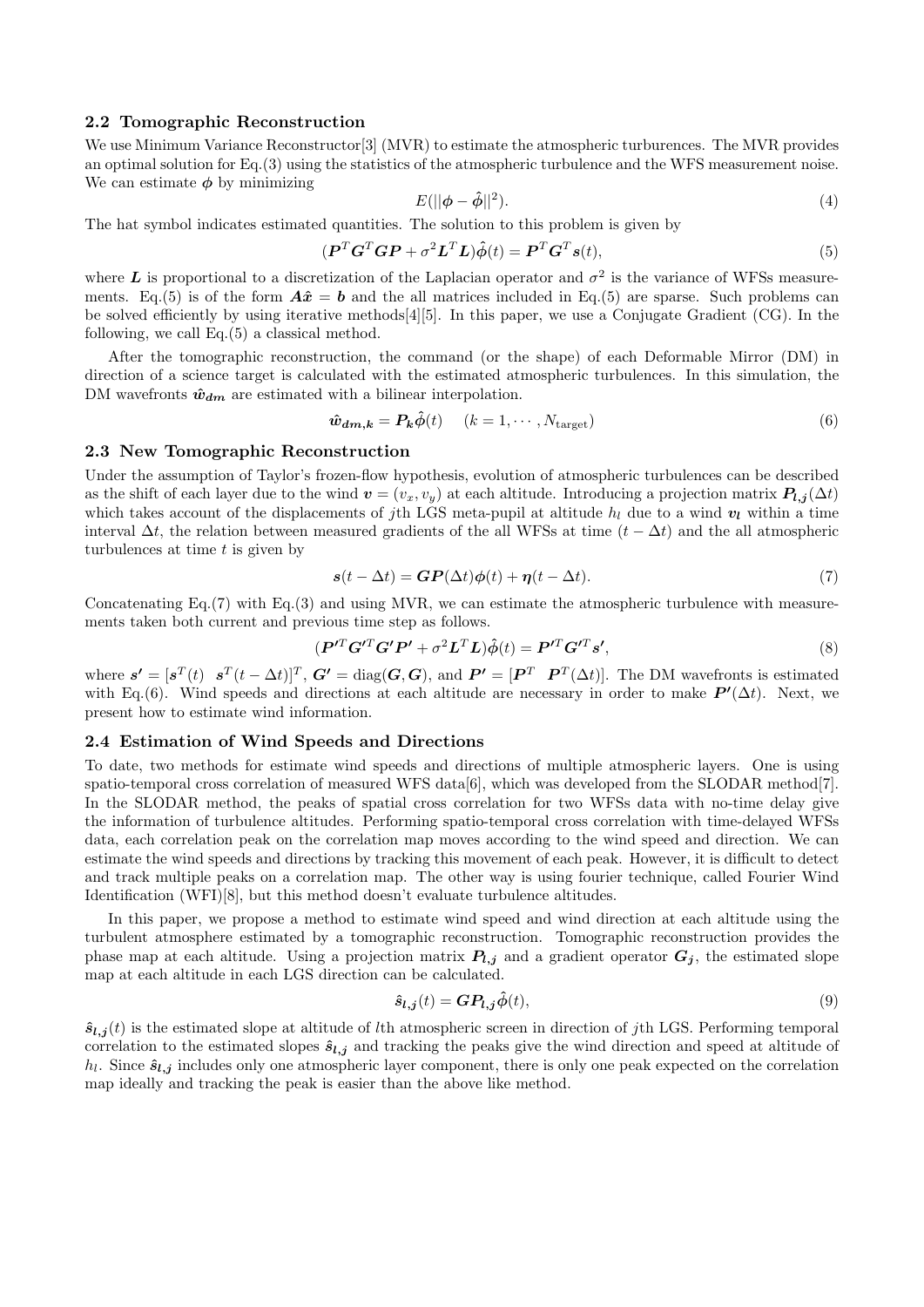## **2.2 Tomographic Reconstruction**

We use Minimum Variance Reconstructor[3] (MVR) to estimate the atmospheric turburences. The MVR provides an optimal solution for Eq.(3) using the statistics of the atmospheric turbulence and the WFS measurement noise. We can estimate *φ* by minimizing

$$
E(||\phi - \hat{\phi}||^2). \tag{4}
$$

The hat symbol indicates estimated quantities. The solution to this problem is given by

$$
(\boldsymbol{P}^T \boldsymbol{G}^T \boldsymbol{G} \boldsymbol{P} + \sigma^2 \boldsymbol{L}^T \boldsymbol{L}) \hat{\boldsymbol{\phi}}(t) = \boldsymbol{P}^T \boldsymbol{G}^T \boldsymbol{s}(t), \tag{5}
$$

where  $L$  is proportional to a discretization of the Laplacian operator and  $\sigma^2$  is the variance of WFSs measurements. Eq.(5) is of the form  $\hat{A}\hat{x} = b$  and the all matrices included in Eq.(5) are sparse. Such problems can be solved efficiently by using iterative methods[4][5]. In this paper, we use a Conjugate Gradient (CG). In the following, we call Eq.(5) a classical method.

After the tomographic reconstruction, the command (or the shape) of each Deformable Mirror (DM) in direction of a science target is calculated with the estimated atmospheric turbulences. In this simulation, the DM wavefronts  $\hat{w}_{dm}$  are estimated with a bilinear interpolation.

$$
\hat{\boldsymbol{w}}_{dm,k} = \boldsymbol{P_k} \hat{\phi}(t) \quad (k = 1, \cdots, N_{\text{target}}) \tag{6}
$$

#### **2.3 New Tomographic Reconstruction**

Under the assumption of Taylor's frozen-flow hypothesis, evolution of atmospheric turbulences can be described as the shift of each layer due to the wind  $v = (v_x, v_y)$  at each altitude. Introducing a projection matrix  $P_{l,j}(\Delta t)$ which takes account of the displacements of *j*th LGS meta-pupil at altitude  $h_l$  due to a wind  $v_l$  within a time interval ∆*t*, the relation between measured gradients of the all WFSs at time (*t −* ∆*t*) and the all atmospheric turbulences at time *t* is given by

$$
s(t - \Delta t) = GP(\Delta t)\phi(t) + \eta(t - \Delta t). \tag{7}
$$

Concatenating Eq.(7) with Eq.(3) and using MVR, we can estimate the atmospheric turbulence with measurements taken both current and previous time step as follows.

$$
(\boldsymbol{P}'^T \boldsymbol{G}'^T \boldsymbol{G}' \boldsymbol{P}' + \sigma^2 \boldsymbol{L}^T \boldsymbol{L}) \hat{\phi}(t) = \boldsymbol{P}'^T \boldsymbol{G}'^T \boldsymbol{s}',\tag{8}
$$

where  $\mathbf{s}' = [\mathbf{s}^T(t) \quad \mathbf{s}^T(t - \Delta t)]^T$ ,  $\mathbf{G}' = \text{diag}(\mathbf{G}, \mathbf{G})$ , and  $\mathbf{P}' = [\mathbf{P}^T \quad \mathbf{P}^T(\Delta t)]$ . The DM wavefronts is estimated with Eq.(6). Wind speeds and directions at each altitude are necessary in order to make  $P'(\Delta t)$ . Next, we present how to estimate wind information.

## **2.4 Estimation of Wind Speeds and Directions**

To date, two methods for estimate wind speeds and directions of multiple atmospheric layers. One is using spatio-temporal cross correlation of measured WFS data[6], which was developed from the SLODAR method[7]. In the SLODAR method, the peaks of spatial cross correlation for two WFSs data with no-time delay give the information of turbulence altitudes. Performing spatio-temporal cross correlation with time-delayed WFSs data, each correlation peak on the correlation map moves according to the wind speed and direction. We can estimate the wind speeds and directions by tracking this movement of each peak. However, it is difficult to detect and track multiple peaks on a correlation map. The other way is using fourier technique, called Fourier Wind Identification (WFI)[8], but this method doesn't evaluate turbulence altitudes.

In this paper, we propose a method to estimate wind speed and wind direction at each altitude using the turbulent atmosphere estimated by a tomographic reconstruction. Tomographic reconstruction provides the phase map at each altitude. Using a projection matrix  $P_{l,j}$  and a gradient operator  $G_j$ , the estimated slope map at each altitude in each LGS direction can be calculated.

$$
\hat{\mathbf{s}}_{l,j}(t) = \mathbf{G} \mathbf{P}_{l,j} \hat{\phi}(t),\tag{9}
$$

 $\hat{\mathbf{s}}_{l,j}(t)$  is the estimated slope at altitude of *l*th atmospheric screen in direction of *j*th LGS. Performing temporal correlation to the estimated slopes  $\hat{s}_{l,j}$  and tracking the peaks give the wind direction and speed at altitude of  $h_l$ . Since  $\hat{s}_{l,j}$  includes only one atmospheric layer component, there is only one peak expected on the correlation map ideally and tracking the peak is easier than the above like method.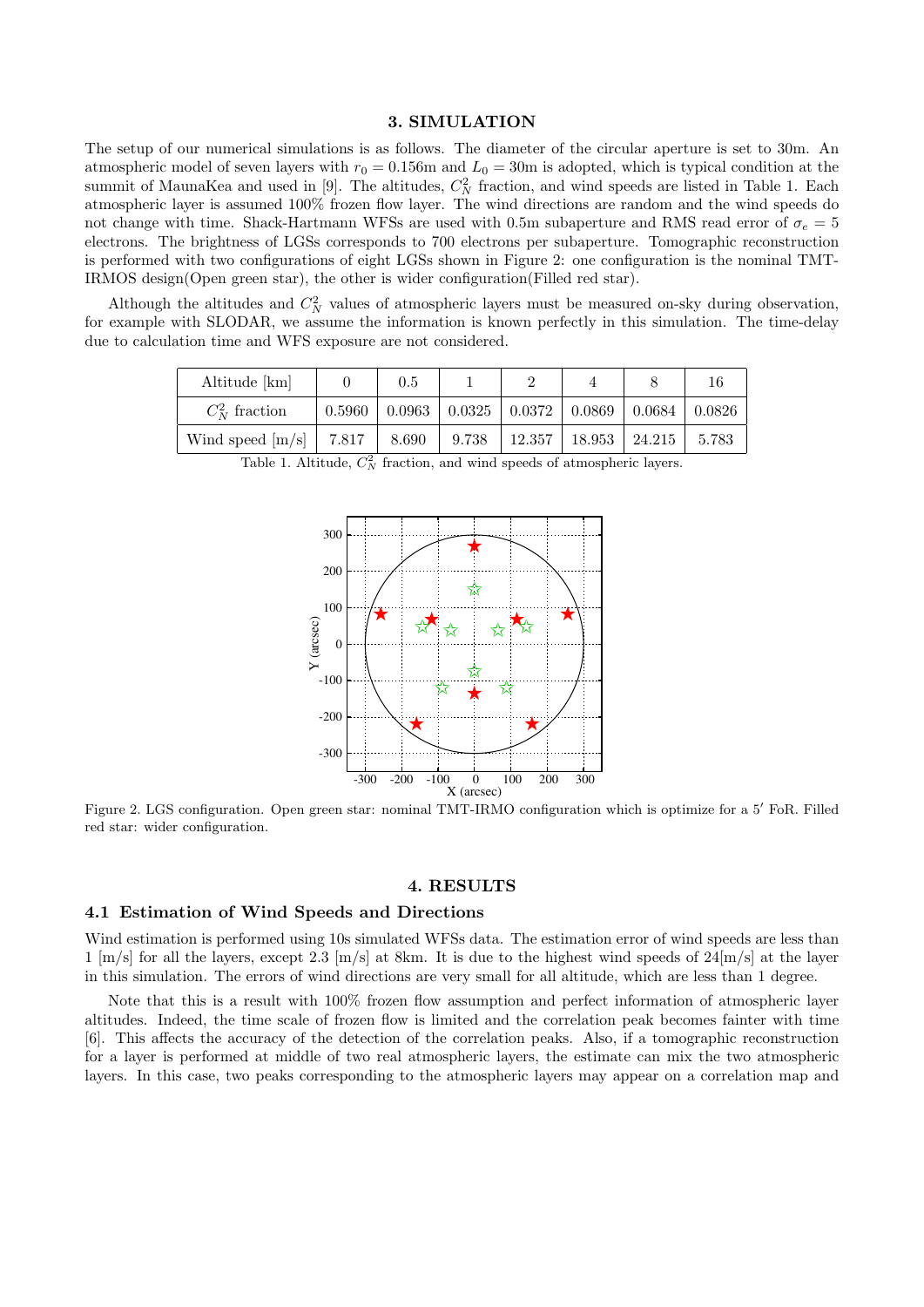#### **3. SIMULATION**

The setup of our numerical simulations is as follows. The diameter of the circular aperture is set to 30m. An atmospheric model of seven layers with  $r_0 = 0.156$ m and  $L_0 = 30$ m is adopted, which is typical condition at the summit of MaunaKea and used in [9]. The altitudes,  $C_N^2$  fraction, and wind speeds are listed in Table 1. Each atmospheric layer is assumed 100% frozen flow layer. The wind directions are random and the wind speeds do not change with time. Shack-Hartmann WFSs are used with 0.5m subaperture and RMS read error of  $\sigma_e = 5$ electrons. The brightness of LGSs corresponds to 700 electrons per subaperture. Tomographic reconstruction is performed with two configurations of eight LGSs shown in Figure 2: one configuration is the nominal TMT-IRMOS design(Open green star), the other is wider configuration(Filled red star).

Although the altitudes and  $C_N^2$  values of atmospheric layers must be measured on-sky during observation, for example with SLODAR, we assume the information is known perfectly in this simulation. The time-delay due to calculation time and WFS exposure are not considered.

| Altitude [km]      |        | 0.5   |                                                                                     |  |                          |         |
|--------------------|--------|-------|-------------------------------------------------------------------------------------|--|--------------------------|---------|
| $C_N^2$ fraction   | 0.5960 |       | $\mid$ 0.0963 $\mid$ 0.0325 $\mid$ 0.0372 $\mid$ 0.0869 $\mid$ 0.0684 $\mid$ 0.0826 |  |                          |         |
| Wind speed $[m/s]$ | 7.817  | 8.690 | 9.738                                                                               |  | 12.357   18.953   24.215 | 1,5.783 |

Table 1. Altitude,  $C_N^2$  fraction, and wind speeds of atmospheric layers.



Figure 2. LGS configuration. Open green star: nominal TMT-IRMO configuration which is optimize for a 5<sup>*f*</sup> FoR. Filled red star: wider configuration.

### **4. RESULTS**

#### **4.1 Estimation of Wind Speeds and Directions**

Wind estimation is performed using 10s simulated WFSs data. The estimation error of wind speeds are less than  $1 \text{ [m/s]}$  for all the layers, except 2.3  $\text{[m/s]}$  at 8km. It is due to the highest wind speeds of  $24 \text{[m/s]}$  at the layer in this simulation. The errors of wind directions are very small for all altitude, which are less than 1 degree.

Note that this is a result with 100% frozen flow assumption and perfect information of atmospheric layer altitudes. Indeed, the time scale of frozen flow is limited and the correlation peak becomes fainter with time [6]. This affects the accuracy of the detection of the correlation peaks. Also, if a tomographic reconstruction for a layer is performed at middle of two real atmospheric layers, the estimate can mix the two atmospheric layers. In this case, two peaks corresponding to the atmospheric layers may appear on a correlation map and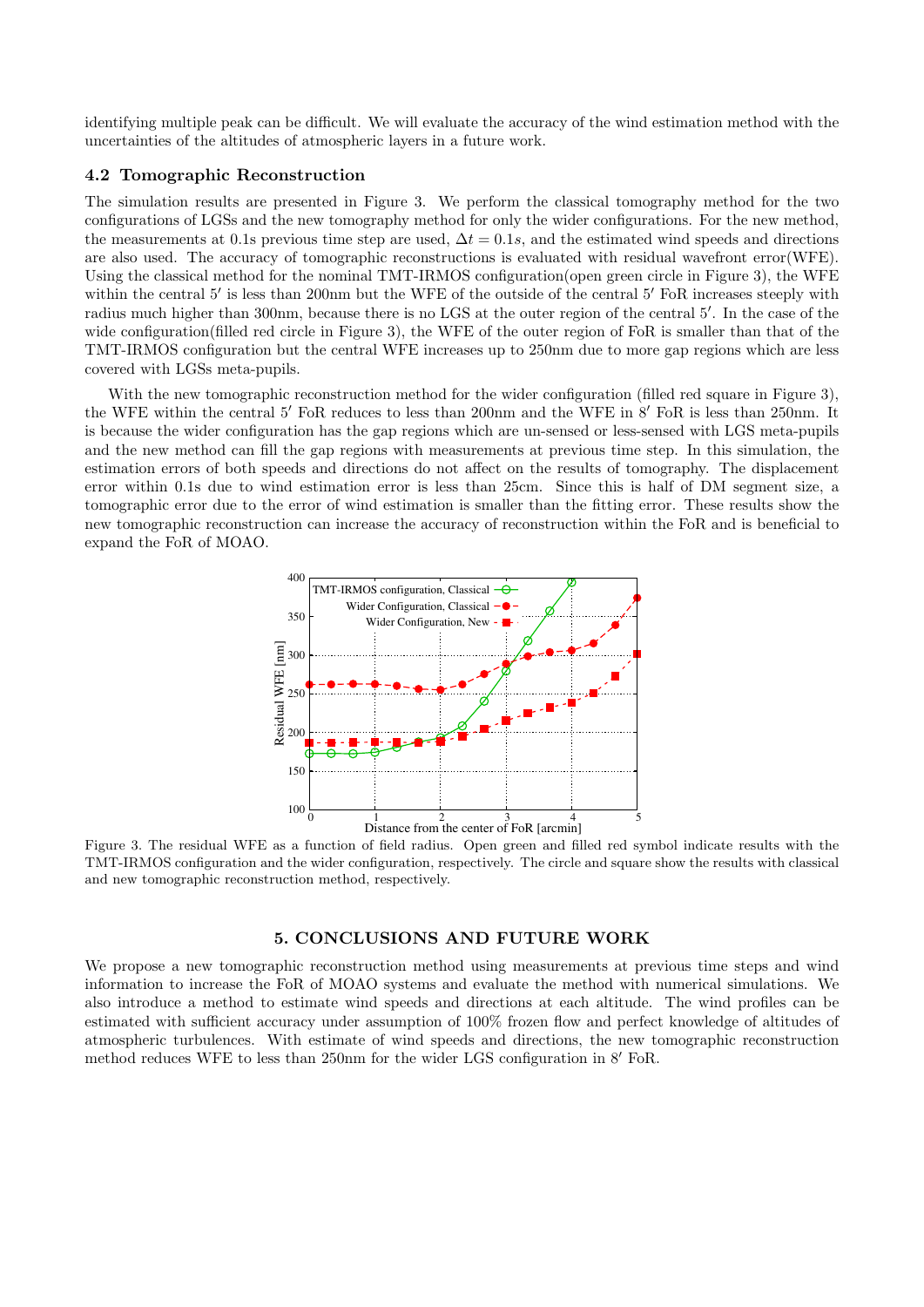identifying multiple peak can be difficult. We will evaluate the accuracy of the wind estimation method with the uncertainties of the altitudes of atmospheric layers in a future work.

# **4.2 Tomographic Reconstruction**

The simulation results are presented in Figure 3. We perform the classical tomography method for the two configurations of LGSs and the new tomography method for only the wider configurations. For the new method, the measurements at 0.1s previous time step are used,  $\Delta t = 0.1s$ , and the estimated wind speeds and directions are also used. The accuracy of tomographic reconstructions is evaluated with residual wavefront error(WFE). Using the classical method for the nominal TMT-IRMOS configuration(open green circle in Figure 3), the WFE within the central 5' is less than 200nm but the WFE of the outside of the central 5' FoR increases steeply with radius much higher than 300nm, because there is no LGS at the outer region of the central 5'. In the case of the wide configuration(filled red circle in Figure 3), the WFE of the outer region of FoR is smaller than that of the TMT-IRMOS configuration but the central WFE increases up to 250nm due to more gap regions which are less covered with LGSs meta-pupils.

With the new tomographic reconstruction method for the wider configuration (filled red square in Figure 3), the WFE within the central 5<sup>*f*</sup> FoR reduces to less than 200nm and the WFE in 8<sup>*f*</sup> FoR is less than 250nm. It is because the wider configuration has the gap regions which are un-sensed or less-sensed with LGS meta-pupils and the new method can fill the gap regions with measurements at previous time step. In this simulation, the estimation errors of both speeds and directions do not affect on the results of tomography. The displacement error within 0.1s due to wind estimation error is less than 25cm. Since this is half of DM segment size, a tomographic error due to the error of wind estimation is smaller than the fitting error. These results show the new tomographic reconstruction can increase the accuracy of reconstruction within the FoR and is beneficial to expand the FoR of MOAO.



Figure 3. The residual WFE as a function of field radius. Open green and filled red symbol indicate results with the TMT-IRMOS configuration and the wider configuration, respectively. The circle and square show the results with classical and new tomographic reconstruction method, respectively.

## **5. CONCLUSIONS AND FUTURE WORK**

We propose a new tomographic reconstruction method using measurements at previous time steps and wind information to increase the FoR of MOAO systems and evaluate the method with numerical simulations. We also introduce a method to estimate wind speeds and directions at each altitude. The wind profiles can be estimated with sufficient accuracy under assumption of 100% frozen flow and perfect knowledge of altitudes of atmospheric turbulences. With estimate of wind speeds and directions, the new tomographic reconstruction method reduces WFE to less than 250nm for the wider LGS configuration in 8' FoR.